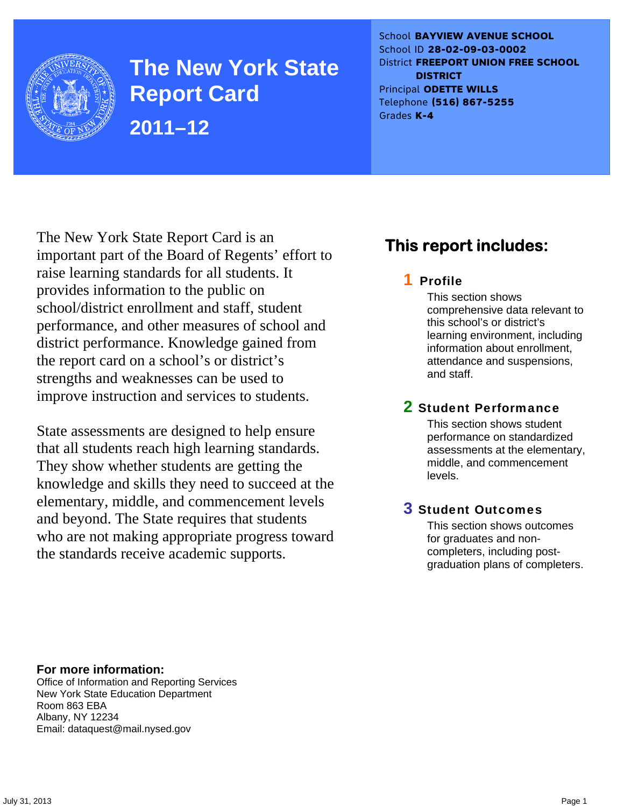

**The New York State Report Card 2011–12** 

School **BAYVIEW AVENUE SCHOOL** School ID **28-02-09-03-0002** District **FREEPORT UNION FREE SCHOOL DISTRICT** Principal **ODETTE WILLS** Telephone **(516) 867-5255** Grades **K-4**

The New York State Report Card is an important part of the Board of Regents' effort to raise learning standards for all students. It provides information to the public on school/district enrollment and staff, student performance, and other measures of school and district performance. Knowledge gained from the report card on a school's or district's strengths and weaknesses can be used to improve instruction and services to students.

State assessments are designed to help ensure that all students reach high learning standards. They show whether students are getting the knowledge and skills they need to succeed at the elementary, middle, and commencement levels and beyond. The State requires that students who are not making appropriate progress toward the standards receive academic supports.

# **This report includes:**

### 1 Profile

This section shows comprehensive data relevant to this school's or district's learning environment, including information about enrollment, attendance and suspensions, and staff.

### 2 Student Performance

This section shows student performance on standardized assessments at the elementary, middle, and commencement levels.

### 3 Student Outcomes

This section shows outcomes for graduates and noncompleters, including postgraduation plans of completers.

**For more information:**  Office of Information and Reporting Services New York State Education Department Room 863 EBA Albany, NY 12234

Email: dataquest@mail.nysed.gov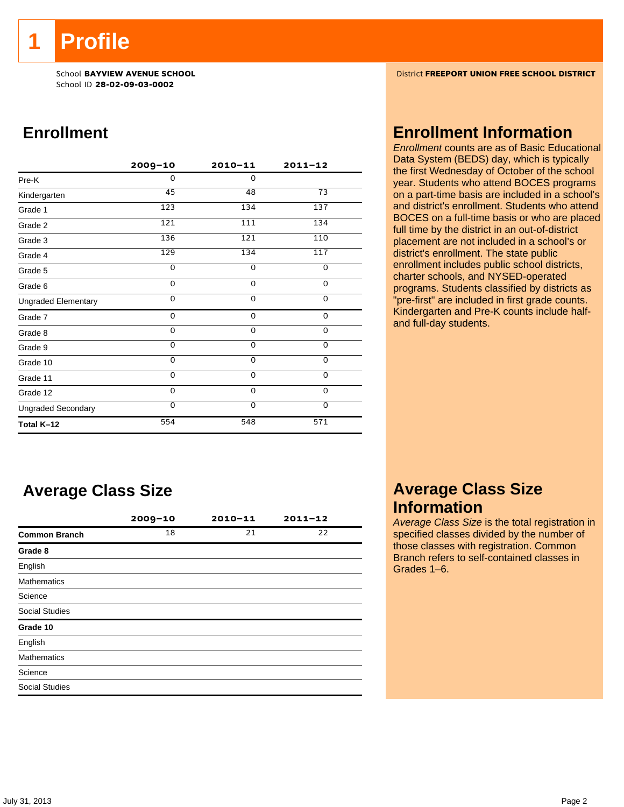**1 Profile** 

School ID **28-02-09-03-0002**

# **Enrollment**

|                            | $2009 - 10$    | $2010 - 11$    | $2011 - 12$    |
|----------------------------|----------------|----------------|----------------|
| Pre-K                      | 0              | $\Omega$       |                |
| Kindergarten               | 45             | 48             | 73             |
| Grade 1                    | 123            | 134            | 137            |
| Grade 2                    | 121            | 111            | 134            |
| Grade 3                    | 136            | 121            | 110            |
| Grade 4                    | 129            | 134            | 117            |
| Grade 5                    | $\overline{0}$ | $\overline{0}$ | $\overline{0}$ |
| Grade 6                    | 0              | 0              | 0              |
| <b>Ungraded Elementary</b> | $\Omega$       | $\Omega$       | 0              |
| Grade 7                    | 0              | 0              | 0              |
| Grade 8                    | 0              | 0              | $\mathbf 0$    |
| Grade 9                    | 0              | 0              | 0              |
| Grade 10                   | 0              | $\mathbf 0$    | 0              |
| Grade 11                   | $\Omega$       | $\mathbf 0$    | $\mathbf 0$    |
| Grade 12                   | $\Omega$       | $\Omega$       | $\Omega$       |
| <b>Ungraded Secondary</b>  | $\Omega$       | $\Omega$       | $\Omega$       |
| Total K-12                 | 554            | 548            | 571            |

# **Average Class Size**

|                       | $2009 - 10$ | $2010 - 11$ | $2011 - 12$ |
|-----------------------|-------------|-------------|-------------|
| <b>Common Branch</b>  | 18          | 21          | 22          |
| Grade 8               |             |             |             |
| English               |             |             |             |
| <b>Mathematics</b>    |             |             |             |
| Science               |             |             |             |
| <b>Social Studies</b> |             |             |             |
| Grade 10              |             |             |             |
| English               |             |             |             |
| <b>Mathematics</b>    |             |             |             |
| Science               |             |             |             |
| <b>Social Studies</b> |             |             |             |

School **BAYVIEW AVENUE SCHOOL** District **FREEPORT UNION FREE SCHOOL DISTRICT**

### **Enrollment Information**

*Enrollment* counts are as of Basic Educational Data System (BEDS) day, which is typically the first Wednesday of October of the school year. Students who attend BOCES programs on a part-time basis are included in a school's and district's enrollment. Students who attend BOCES on a full-time basis or who are placed full time by the district in an out-of-district placement are not included in a school's or district's enrollment. The state public enrollment includes public school districts, charter schools, and NYSED-operated programs. Students classified by districts as "pre-first" are included in first grade counts. Kindergarten and Pre-K counts include halfand full-day students.

### **Average Class Size Information**

*Average Class Size* is the total registration in specified classes divided by the number of those classes with registration. Common Branch refers to self-contained classes in Grades 1–6.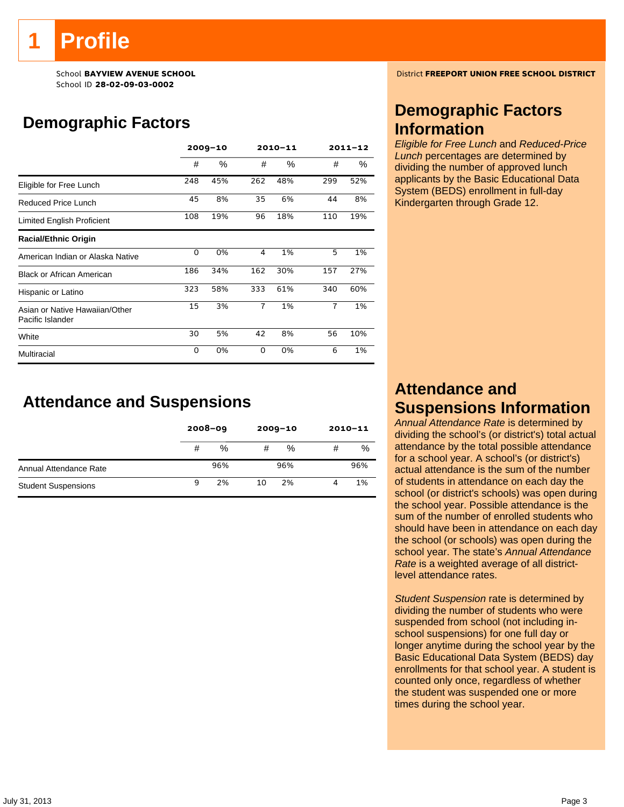# **Profile**

School ID **28-02-09-03-0002**

# **Demographic Factors**

|                                                    |     | $2009 - 10$ |                | 2010-11 | $2011 - 12$ |     |  |
|----------------------------------------------------|-----|-------------|----------------|---------|-------------|-----|--|
|                                                    | #   | $\%$        | #              | %       | #           | %   |  |
| Eligible for Free Lunch                            | 248 | 45%         | 262            | 48%     | 299         | 52% |  |
| Reduced Price Lunch                                | 45  | 8%          | 35             | 6%      | 44          | 8%  |  |
| Limited English Proficient                         | 108 | 19%         | 96             | 18%     | 110         | 19% |  |
| <b>Racial/Ethnic Origin</b>                        |     |             |                |         |             |     |  |
| American Indian or Alaska Native                   | 0   | 0%          | 4              | 1%      | 5           | 1%  |  |
| <b>Black or African American</b>                   | 186 | 34%         | 162            | 30%     | 157         | 27% |  |
| Hispanic or Latino                                 | 323 | 58%         | 333            | 61%     | 340         | 60% |  |
| Asian or Native Hawaiian/Other<br>Pacific Islander | 15  | 3%          | $\overline{1}$ | 1%      | 7           | 1%  |  |
| White                                              | 30  | 5%          | 42             | 8%      | 56          | 10% |  |
| Multiracial                                        | 0   | 0%          | $\Omega$       | 0%      | 6           | 1%  |  |

### **Attendance and Suspensions**

|                            |   | $2008 - 09$ |    | $2009 - 10$ | $2010 - 11$ |     |
|----------------------------|---|-------------|----|-------------|-------------|-----|
|                            | # | %           | #  | %           | #           | %   |
| Annual Attendance Rate     |   | 96%         |    | 96%         |             | 96% |
| <b>Student Suspensions</b> | 9 | 2%          | 10 | 2%          | 4           | 1%  |

School **BAYVIEW AVENUE SCHOOL** District **FREEPORT UNION FREE SCHOOL DISTRICT**

### **Demographic Factors Information**

*Eligible for Free Lunch* and *Reduced-Price Lunch* percentages are determined by dividing the number of approved lunch applicants by the Basic Educational Data System (BEDS) enrollment in full-day Kindergarten through Grade 12.

# **Attendance and Suspensions Information**

*Annual Attendance Rate* is determined by dividing the school's (or district's) total actual attendance by the total possible attendance for a school year. A school's (or district's) actual attendance is the sum of the number of students in attendance on each day the school (or district's schools) was open during the school year. Possible attendance is the sum of the number of enrolled students who should have been in attendance on each day the school (or schools) was open during the school year. The state's *Annual Attendance Rate* is a weighted average of all districtlevel attendance rates.

*Student Suspension* rate is determined by dividing the number of students who were suspended from school (not including inschool suspensions) for one full day or longer anytime during the school year by the Basic Educational Data System (BEDS) day enrollments for that school year. A student is counted only once, regardless of whether the student was suspended one or more times during the school year.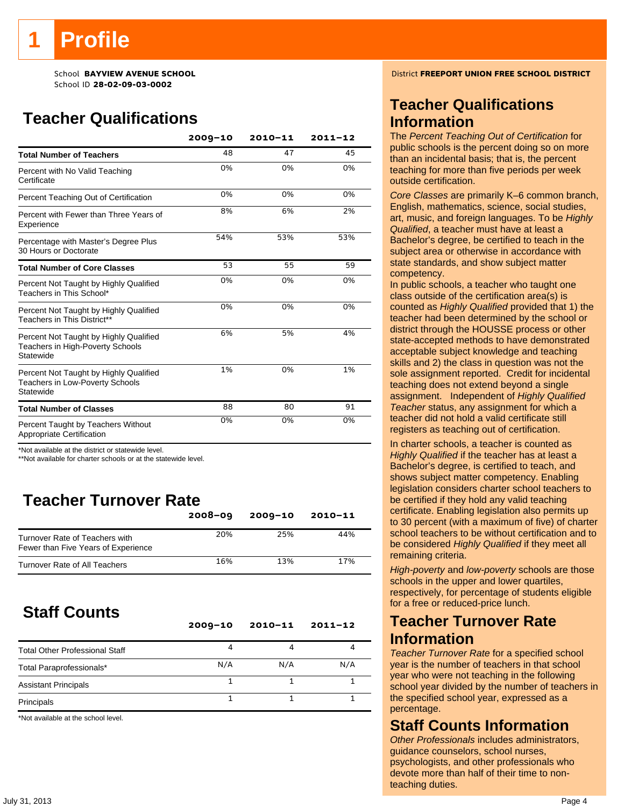# **Teacher Qualifications**

|                                                                                               | $2009 - 10$ | 2010-11 | $2011 - 12$ |
|-----------------------------------------------------------------------------------------------|-------------|---------|-------------|
| <b>Total Number of Teachers</b>                                                               | 48          | 47      | 45          |
| Percent with No Valid Teaching<br>Certificate                                                 | 0%          | 0%      | 0%          |
| Percent Teaching Out of Certification                                                         | 0%          | 0%      | 0%          |
| Percent with Fewer than Three Years of<br>Experience                                          | 8%          | 6%      | 2%          |
| Percentage with Master's Degree Plus<br>30 Hours or Doctorate                                 | 54%         | 53%     | 53%         |
| <b>Total Number of Core Classes</b>                                                           | 53          | 55      | 59          |
| Percent Not Taught by Highly Qualified<br>Teachers in This School*                            | 0%          | 0%      | 0%          |
| Percent Not Taught by Highly Qualified<br>Teachers in This District**                         | 0%          | 0%      | 0%          |
| Percent Not Taught by Highly Qualified<br>Teachers in High-Poverty Schools<br>Statewide       | 6%          | 5%      | 4%          |
| Percent Not Taught by Highly Qualified<br><b>Teachers in Low-Poverty Schools</b><br>Statewide | 1%          | 0%      | 1%          |
| <b>Total Number of Classes</b>                                                                | 88          | 80      | 91          |
| Percent Taught by Teachers Without<br>Appropriate Certification                               | 0%          | 0%      | 0%          |

\*Not available at the district or statewide level.

\*\*Not available for charter schools or at the statewide level.

# **Teacher Turnover Rate**

|                                                                       | $2008 - 09$ | $2009 - 10$ | $2010 - 11$ |
|-----------------------------------------------------------------------|-------------|-------------|-------------|
| Turnover Rate of Teachers with<br>Fewer than Five Years of Experience | 20%         | 25%         | 44%         |
| Turnover Rate of All Teachers                                         | 16%         | 13%         | 17%         |

# **Staff Counts**

|                                       | $2009 - 10$ | $2010 - 11$ | $2011 - 12$ |
|---------------------------------------|-------------|-------------|-------------|
| <b>Total Other Professional Staff</b> | 4           |             |             |
| Total Paraprofessionals*              | N/A         | N/A         | N/A         |
| <b>Assistant Principals</b>           |             |             |             |
| Principals                            |             |             |             |

\*Not available at the school level.

School **BAYVIEW AVENUE SCHOOL** District **FREEPORT UNION FREE SCHOOL DISTRICT**

### **Teacher Qualifications Information**

The *Percent Teaching Out of Certification* for public schools is the percent doing so on more than an incidental basis; that is, the percent teaching for more than five periods per week outside certification.

*Core Classes* are primarily K–6 common branch, English, mathematics, science, social studies, art, music, and foreign languages. To be *Highly Qualified*, a teacher must have at least a Bachelor's degree, be certified to teach in the subject area or otherwise in accordance with state standards, and show subject matter competency.

In public schools, a teacher who taught one class outside of the certification area(s) is counted as *Highly Qualified* provided that 1) the teacher had been determined by the school or district through the HOUSSE process or other state-accepted methods to have demonstrated acceptable subject knowledge and teaching skills and 2) the class in question was not the sole assignment reported. Credit for incidental teaching does not extend beyond a single assignment. Independent of *Highly Qualified Teacher* status, any assignment for which a teacher did not hold a valid certificate still registers as teaching out of certification.

In charter schools, a teacher is counted as *Highly Qualified* if the teacher has at least a Bachelor's degree, is certified to teach, and shows subject matter competency. Enabling legislation considers charter school teachers to be certified if they hold any valid teaching certificate. Enabling legislation also permits up to 30 percent (with a maximum of five) of charter school teachers to be without certification and to be considered *Highly Qualified* if they meet all remaining criteria.

*High-poverty* and *low-poverty* schools are those schools in the upper and lower quartiles, respectively, for percentage of students eligible for a free or reduced-price lunch.

### **Teacher Turnover Rate Information**

*Teacher Turnover Rate* for a specified school year is the number of teachers in that school year who were not teaching in the following school year divided by the number of teachers in the specified school year, expressed as a percentage.

### **Staff Counts Information**

*Other Professionals* includes administrators, guidance counselors, school nurses, psychologists, and other professionals who devote more than half of their time to nonteaching duties.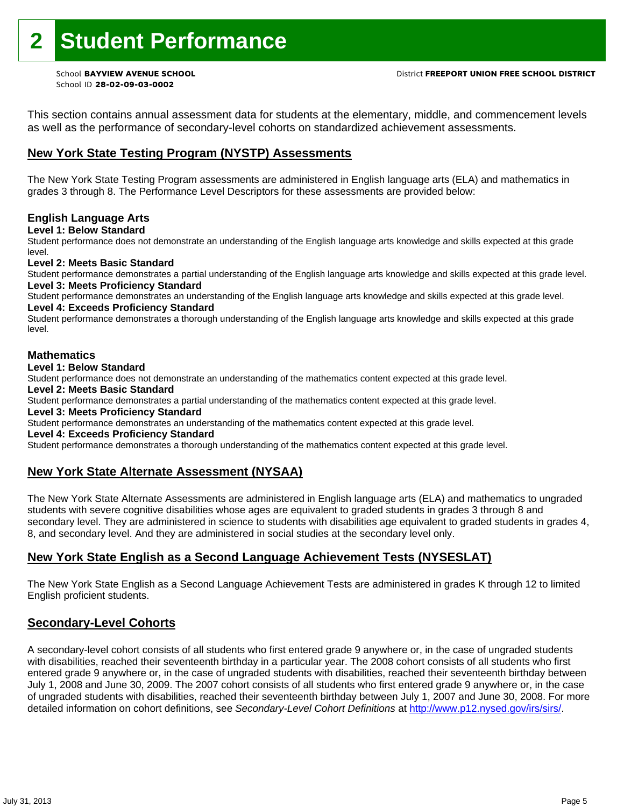This section contains annual assessment data for students at the elementary, middle, and commencement levels as well as the performance of secondary-level cohorts on standardized achievement assessments.

#### **New York State Testing Program (NYSTP) Assessments**

The New York State Testing Program assessments are administered in English language arts (ELA) and mathematics in grades 3 through 8. The Performance Level Descriptors for these assessments are provided below:

#### **English Language Arts**

**Level 1: Below Standard** 

Student performance does not demonstrate an understanding of the English language arts knowledge and skills expected at this grade level.

#### **Level 2: Meets Basic Standard**

Student performance demonstrates a partial understanding of the English language arts knowledge and skills expected at this grade level. **Level 3: Meets Proficiency Standard** 

Student performance demonstrates an understanding of the English language arts knowledge and skills expected at this grade level.

### **Level 4: Exceeds Proficiency Standard**

Student performance demonstrates a thorough understanding of the English language arts knowledge and skills expected at this grade level.

#### **Mathematics**

#### **Level 1: Below Standard**

Student performance does not demonstrate an understanding of the mathematics content expected at this grade level.

#### **Level 2: Meets Basic Standard**

Student performance demonstrates a partial understanding of the mathematics content expected at this grade level.

#### **Level 3: Meets Proficiency Standard**

Student performance demonstrates an understanding of the mathematics content expected at this grade level.

#### **Level 4: Exceeds Proficiency Standard**

Student performance demonstrates a thorough understanding of the mathematics content expected at this grade level.

#### **New York State Alternate Assessment (NYSAA)**

The New York State Alternate Assessments are administered in English language arts (ELA) and mathematics to ungraded students with severe cognitive disabilities whose ages are equivalent to graded students in grades 3 through 8 and secondary level. They are administered in science to students with disabilities age equivalent to graded students in grades 4, 8, and secondary level. And they are administered in social studies at the secondary level only.

#### **New York State English as a Second Language Achievement Tests (NYSESLAT)**

The New York State English as a Second Language Achievement Tests are administered in grades K through 12 to limited English proficient students.

#### **Secondary-Level Cohorts**

A secondary-level cohort consists of all students who first entered grade 9 anywhere or, in the case of ungraded students with disabilities, reached their seventeenth birthday in a particular year. The 2008 cohort consists of all students who first entered grade 9 anywhere or, in the case of ungraded students with disabilities, reached their seventeenth birthday between July 1, 2008 and June 30, 2009. The 2007 cohort consists of all students who first entered grade 9 anywhere or, in the case of ungraded students with disabilities, reached their seventeenth birthday between July 1, 2007 and June 30, 2008. For more detailed information on cohort definitions, see *Secondary-Level Cohort Definitions* at http://www.p12.nysed.gov/irs/sirs/.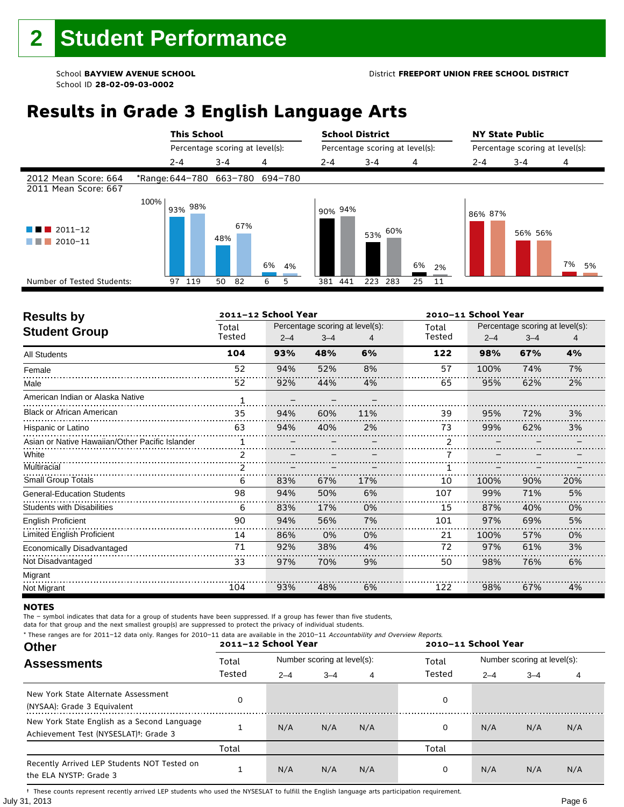# **Results in Grade 3 English Language Arts**

|                                              |      | <b>This School</b> |                                 | <b>School District</b> |         |                                 | <b>NY State Public</b> |         |                                 |          |  |
|----------------------------------------------|------|--------------------|---------------------------------|------------------------|---------|---------------------------------|------------------------|---------|---------------------------------|----------|--|
|                                              |      |                    | Percentage scoring at level(s): |                        |         | Percentage scoring at level(s): |                        |         | Percentage scoring at level(s): |          |  |
|                                              |      | $2 - 4$            | $3 - 4$                         | 4                      | $2 - 4$ | $3 - 4$                         | 4                      | $2 - 4$ | $3 - 4$                         | 4        |  |
| 2012 Mean Score: 664<br>2011 Mean Score: 667 |      |                    | *Range: 644-780 663-780 694-780 |                        |         |                                 |                        |         |                                 |          |  |
| $2011 - 12$<br>2010-11                       | 100% | 93% 98%            | 67%<br>48%                      | 6%<br>4%               | 90% 94% | 53% 60%                         | 6%<br>2%               | 86% 87% | 56% 56%                         | 7%<br>5% |  |
| Number of Tested Students:                   |      | 97 119             | 50<br>82                        | 6<br>5                 | 381 441 | 223<br>283                      | 25<br>11               |         |                                 |          |  |
|                                              |      |                    |                                 |                        |         |                                 |                        |         |                                 |          |  |

| <b>Results by</b>                               |        | 2011-12 School Year |                                 |     |        | 2010-11 School Year |                                 |     |  |
|-------------------------------------------------|--------|---------------------|---------------------------------|-----|--------|---------------------|---------------------------------|-----|--|
| <b>Student Group</b>                            | Total  |                     | Percentage scoring at level(s): |     | Total  |                     | Percentage scoring at level(s): |     |  |
|                                                 | Tested | $2 - 4$             | $3 - 4$                         |     | Tested | $2 - 4$             | $3 - 4$                         | 4   |  |
| <b>All Students</b>                             | 104    | 93%                 | 48%                             | 6%  | 122    | 98%                 | 67%                             | 4%  |  |
| Female                                          | 52     | 94%                 | 52%                             | 8%  | 57     | 100%                | 74%                             | 7%  |  |
| Male                                            | 52     | 92%                 | 44%                             | 4%  | 65     | 95%                 | 62%                             | 2%  |  |
| American Indian or Alaska Native                | 1      |                     |                                 |     |        |                     |                                 |     |  |
| <b>Black or African American</b>                | 35     | 94%                 | 60%                             | 11% | 39     | 95%                 | 72%                             | 3%  |  |
| Hispanic or Latino                              | 63     | 94%                 | 40%                             | 2%  | 73     | 99%                 | 62%                             | 3%  |  |
| Asian or Native Hawaiian/Other Pacific Islander |        |                     |                                 |     | 2      |                     |                                 |     |  |
| White                                           | 2      |                     |                                 |     |        |                     |                                 |     |  |
| Multiracial                                     |        |                     |                                 |     |        |                     |                                 |     |  |
| <b>Small Group Totals</b>                       | 6      | 83%                 | 67%                             | 17% | 10     | 100%                | 90%                             | 20% |  |
| <b>General-Education Students</b>               | 98     | 94%                 | 50%                             | 6%  | 107    | 99%                 | 71%                             | 5%  |  |
| <b>Students with Disabilities</b>               | 6      | 83%                 | 17%                             | 0%  | 15     | 87%                 | 40%                             | 0%  |  |
| <b>English Proficient</b>                       | 90     | 94%                 | 56%                             | 7%  | 101    | 97%                 | 69%                             | 5%  |  |
| Limited English Proficient                      | 14     | 86%                 | 0%                              | 0%  | 21     | 100%                | 57%                             | 0%  |  |
| Economically Disadvantaged                      | 71     | 92%                 | 38%                             | 4%  | 72     | 97%                 | 61%                             | 3%  |  |
| Not Disadvantaged                               | 33     | 97%                 | 70%                             | 9%  | 50     | 98%                 | 76%                             | 6%  |  |
| Migrant                                         |        |                     |                                 |     |        |                     |                                 |     |  |
| Not Migrant                                     | 104    | 93%                 | 48%                             | 6%  | 122    | 98%                 | 67%                             | 4%  |  |

#### **NOTES**

The – symbol indicates that data for a group of students have been suppressed. If a group has fewer than five students,

data for that group and the next smallest group(s) are suppressed to protect the privacy of individual students. \* These ranges are for 2011–12 data only. Ranges for 2010–11 data are available in the 2010–11 Accountability and Overview Reports.

| THESE TRINGES ARE TOT ZUIT-IZ GATA ONLY. RANGES TOT ZUID-II GATA ARE AVAILABLE IN THE ZUID-II ACCOUNTABILITY AND OVERVIEW REPORTS.<br><b>Other</b> |        | 2011-12 School Year |                             |     | 2010-11 School Year |                             |         |     |
|----------------------------------------------------------------------------------------------------------------------------------------------------|--------|---------------------|-----------------------------|-----|---------------------|-----------------------------|---------|-----|
| <b>Assessments</b>                                                                                                                                 | Total  |                     | Number scoring at level(s): |     |                     | Number scoring at level(s): |         |     |
|                                                                                                                                                    | Tested | $2 - 4$             | $3 - 4$                     | 4   | Tested              | $2 - 4$                     | $3 - 4$ | 4   |
| New York State Alternate Assessment<br>(NYSAA): Grade 3 Equivalent                                                                                 |        |                     |                             |     | 0                   |                             |         |     |
| New York State English as a Second Language<br>Achievement Test (NYSESLAT) <sup>+</sup> : Grade 3                                                  |        | N/A                 | N/A                         | N/A | 0                   | N/A                         | N/A     | N/A |
|                                                                                                                                                    | Total  |                     |                             |     | Total               |                             |         |     |
| Recently Arrived LEP Students NOT Tested on<br>the ELA NYSTP: Grade 3                                                                              |        | N/A                 | N/A                         | N/A | 0                   | N/A                         | N/A     | N/A |

July 31, 2013 Page 6 † These counts represent recently arrived LEP students who used the NYSESLAT to fulfill the English language arts participation requirement.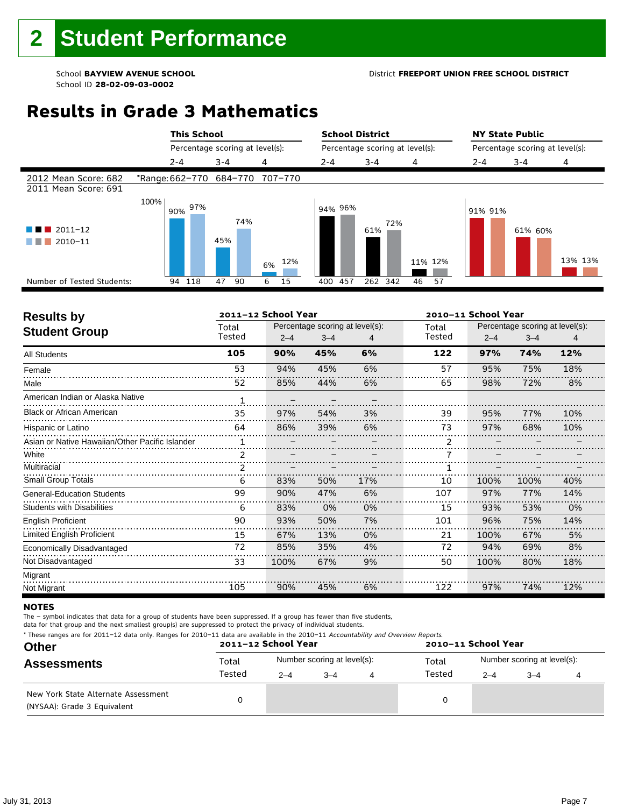# **Results in Grade 3 Mathematics**

|                                              |                                 | <b>This School</b><br>Percentage scoring at level(s): |           |            | <b>School District</b><br>Percentage scoring at level(s): |          |         | <b>NY State Public</b><br>Percentage scoring at level(s): |         |  |
|----------------------------------------------|---------------------------------|-------------------------------------------------------|-----------|------------|-----------------------------------------------------------|----------|---------|-----------------------------------------------------------|---------|--|
|                                              |                                 |                                                       |           |            |                                                           |          |         |                                                           |         |  |
|                                              | $2 - 4$                         | $3 - 4$                                               | 4         | $2 - 4$    | $3 - 4$                                                   | 4        | $2 - 4$ | $3 - 4$                                                   | 4       |  |
| 2012 Mean Score: 682<br>2011 Mean Score: 691 | *Range: 662-770 684-770 707-770 |                                                       |           |            |                                                           |          |         |                                                           |         |  |
| $\blacksquare$ 2011-12<br>2010-11<br>. .     | 100%<br>l 90% 97%               | 74%<br>45%                                            | 12%<br>6% | 94% 96%    | 72%<br>61%                                                | 11% 12%  | 91% 91% | 61% 60%                                                   | 13% 13% |  |
| Number of Tested Students:                   | 94 118                          | 47<br>90                                              | 6<br>15   | 457<br>400 | 262 342                                                   | 57<br>46 |         |                                                           |         |  |
|                                              |                                 |                                                       |           |            |                                                           |          |         |                                                           |         |  |

| <b>Results by</b>                               |             | 2011-12 School Year |                                 |     |        | 2010-11 School Year |                                 |     |  |
|-------------------------------------------------|-------------|---------------------|---------------------------------|-----|--------|---------------------|---------------------------------|-----|--|
| <b>Student Group</b>                            | Total       |                     | Percentage scoring at level(s): |     | Total  |                     | Percentage scoring at level(s): |     |  |
|                                                 | Tested      | $2 - 4$             | $3 - 4$                         | 4   | Tested | $2 - 4$             | $3 - 4$                         | 4   |  |
| <b>All Students</b>                             | 105         | 90%                 | 45%                             | 6%  | 122    | 97%                 | 74%                             | 12% |  |
| Female                                          | 53          | 94%                 | 45%                             | 6%  | 57     | 95%                 | 75%                             | 18% |  |
| Male                                            | 52          | 85%                 | 44%                             | 6%  | 65     | 98%                 | 72%                             | 8%  |  |
| American Indian or Alaska Native                | $\mathbf 1$ |                     |                                 |     |        |                     |                                 |     |  |
| <b>Black or African American</b>                | 35          | 97%                 | 54%                             | 3%  | 39     | 95%                 | 77%                             | 10% |  |
| Hispanic or Latino                              | 64          | 86%                 | 39%                             | 6%  | 73     | 97%                 | 68%                             | 10% |  |
| Asian or Native Hawaiian/Other Pacific Islander |             |                     |                                 |     |        |                     |                                 |     |  |
| White                                           | 2           |                     |                                 |     |        |                     |                                 |     |  |
| Multiracial                                     |             |                     |                                 |     |        |                     |                                 |     |  |
| <b>Small Group Totals</b>                       | 6           | 83%                 | 50%                             | 17% | 10     | 100%                | 100%                            | 40% |  |
| <b>General-Education Students</b>               | 99          | 90%                 | 47%                             | 6%  | 107    | 97%                 | 77%                             | 14% |  |
| <b>Students with Disabilities</b>               | 6           | 83%                 | 0%                              | 0%  | 15     | 93%                 | 53%                             | 0%  |  |
| <b>English Proficient</b>                       | 90          | 93%                 | 50%                             | 7%  | 101    | 96%                 | 75%                             | 14% |  |
| Limited English Proficient                      | 15          | 67%                 | 13%                             | 0%  | 21     | 100%                | 67%                             | 5%  |  |
| Economically Disadvantaged                      | 72          | 85%                 | 35%                             | 4%  | 72     | 94%                 | 69%                             | 8%  |  |
| Not Disadvantaged                               | 33          | 100%                | 67%                             | 9%  | 50     | 100%                | 80%                             | 18% |  |
| Migrant                                         |             |                     |                                 |     |        |                     |                                 |     |  |
| Not Migrant                                     | 105         | 90%                 | 45%                             | 6%  | 122    | 97%                 | 74%                             | 12% |  |

#### **NOTES**

The – symbol indicates that data for a group of students have been suppressed. If a group has fewer than five students,

data for that group and the next smallest group(s) are suppressed to protect the privacy of individual students.

| * These ranges are for 2011–12 data only. Ranges for 2010–11 data are available in the 2010–11 Accountability and Overview Reports.<br>and the company of the company of the company of the company of the company of the company of the company of the |  |
|---------------------------------------------------------------------------------------------------------------------------------------------------------------------------------------------------------------------------------------------------------|--|
|---------------------------------------------------------------------------------------------------------------------------------------------------------------------------------------------------------------------------------------------------------|--|

| <b>Other</b>                                                       |        | 2011-12 School Year |                             |   | 2010-11 School Year |                             |         |  |  |
|--------------------------------------------------------------------|--------|---------------------|-----------------------------|---|---------------------|-----------------------------|---------|--|--|
| <b>Assessments</b>                                                 | Total  |                     | Number scoring at level(s): |   | Total<br>Tested     | Number scoring at level(s): |         |  |  |
|                                                                    | Tested | $2 - 4$             | $-4$                        | 4 |                     | $2 - 4$                     | $3 - 4$ |  |  |
| New York State Alternate Assessment<br>(NYSAA): Grade 3 Equivalent |        |                     |                             |   | 0                   |                             |         |  |  |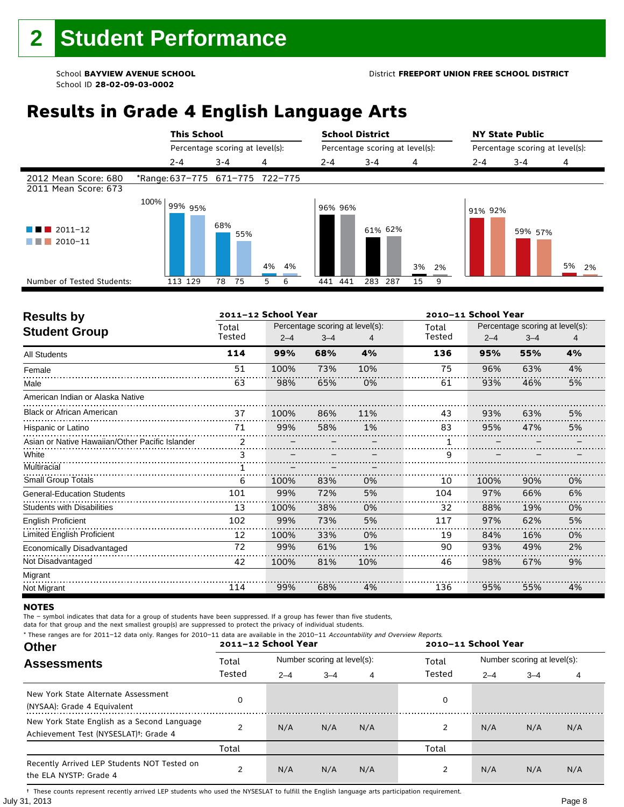# **Results in Grade 4 English Language Arts**

|                                              |      | <b>This School</b>              |                                 |          | <b>School District</b> |                                 |          | <b>NY State Public</b> |                                 |          |
|----------------------------------------------|------|---------------------------------|---------------------------------|----------|------------------------|---------------------------------|----------|------------------------|---------------------------------|----------|
|                                              |      |                                 | Percentage scoring at level(s): |          |                        | Percentage scoring at level(s): |          |                        | Percentage scoring at level(s): |          |
|                                              |      | $2 - 4$                         | $3 - 4$                         | 4        | $2 - 4$                | $3 - 4$                         | 4        | $2 - 4$                | $3 - 4$                         | 4        |
| 2012 Mean Score: 680<br>2011 Mean Score: 673 |      | *Range: 637-775 671-775 722-775 |                                 |          |                        |                                 |          |                        |                                 |          |
| 2011-12<br>$2010 - 11$                       | 100% | l 99% 95%                       | 68%<br>55%                      | 4%<br>4% | 96% 96%                | 61% 62%                         | 3%<br>2% | 91% 92%                | 59% 57%                         | 5%<br>2% |
| Number of Tested Students:                   |      | 113 129                         | 75<br>78                        | 6<br>5   | 441 441                | 283<br>287                      | 15<br>9  |                        |                                 |          |
|                                              |      |                                 |                                 |          |                        |                                 |          |                        |                                 |          |

| <b>Results by</b>                               |               | 2011-12 School Year |                                 |     | 2010-11 School Year |         |                                 |    |
|-------------------------------------------------|---------------|---------------------|---------------------------------|-----|---------------------|---------|---------------------------------|----|
| <b>Student Group</b>                            | Total         |                     | Percentage scoring at level(s): |     | Total               |         | Percentage scoring at level(s): |    |
|                                                 | Tested        | $2 - 4$             | $3 - 4$                         |     | Tested              | $2 - 4$ | $3 - 4$                         | 4  |
| <b>All Students</b>                             | 114           | 99%                 | 68%                             | 4%  | 136                 | 95%     | 55%                             | 4% |
| Female                                          | 51            | 100%                | 73%                             | 10% | 75                  | 96%     | 63%                             | 4% |
| Male                                            | 63            | 98%                 | 65%                             | 0%  | 61                  | 93%     | 46%                             | 5% |
| American Indian or Alaska Native                |               |                     |                                 |     |                     |         |                                 |    |
| <b>Black or African American</b>                | 37            | 100%                | 86%                             | 11% | 43                  | 93%     | 63%                             | 5% |
| Hispanic or Latino                              | 71            | 99%                 | 58%                             | 1%  | 83                  | 95%     | 47%                             | 5% |
| Asian or Native Hawaiian/Other Pacific Islander | $\mathcal{P}$ |                     |                                 |     |                     |         |                                 |    |
| White                                           | 3             |                     |                                 |     | 9                   |         |                                 |    |
| Multiracial                                     |               |                     |                                 |     |                     |         |                                 |    |
| <b>Small Group Totals</b>                       | 6             | 100%                | 83%                             | 0%  | 10                  | 100%    | 90%                             | 0% |
| <b>General-Education Students</b>               | 101           | 99%                 | 72%                             | 5%  | 104                 | 97%     | 66%                             | 6% |
| <b>Students with Disabilities</b>               | 13            | 100%                | 38%                             | 0%  | 32                  | 88%     | 19%                             | 0% |
| <b>English Proficient</b>                       | 102           | 99%                 | 73%                             | 5%  | 117                 | 97%     | 62%                             | 5% |
| Limited English Proficient                      | 12            | 100%                | 33%                             | 0%  | 19                  | 84%     | 16%                             | 0% |
| Economically Disadvantaged                      | 72            | 99%                 | 61%                             | 1%  | 90                  | 93%     | 49%                             | 2% |
| Not Disadvantaged                               | 42            | 100%                | 81%                             | 10% | 46                  | 98%     | 67%                             | 9% |
| Migrant                                         |               |                     |                                 |     |                     |         |                                 |    |
| Not Migrant                                     | 114           | 99%                 | 68%                             | 4%  | 136                 | 95%     | 55%                             | 4% |

#### **NOTES**

The – symbol indicates that data for a group of students have been suppressed. If a group has fewer than five students,

data for that group and the next smallest group(s) are suppressed to protect the privacy of individual students.

| <b>Other</b>                                                                                      |        | * These ranges are for 2011-12 data only. Ranges for 2010-11 data are available in the 2010-11 Accountability and Overview Reports.<br>2011-12 School Year<br>2010-11 School Year |                             |     |                 |                             |         |     |  |
|---------------------------------------------------------------------------------------------------|--------|-----------------------------------------------------------------------------------------------------------------------------------------------------------------------------------|-----------------------------|-----|-----------------|-----------------------------|---------|-----|--|
| <b>Assessments</b>                                                                                | Total  |                                                                                                                                                                                   | Number scoring at level(s): |     | Total<br>Tested | Number scoring at level(s): |         |     |  |
|                                                                                                   | Tested | $2 - 4$                                                                                                                                                                           | $3 - 4$                     | 4   |                 | $2 - 4$                     | $3 - 4$ | 4   |  |
| New York State Alternate Assessment<br>(NYSAA): Grade 4 Equivalent                                |        |                                                                                                                                                                                   |                             |     | 0               |                             |         |     |  |
| New York State English as a Second Language<br>Achievement Test (NYSESLAT) <sup>†</sup> : Grade 4 |        | N/A                                                                                                                                                                               | N/A                         | N/A | 2               | N/A                         | N/A     | N/A |  |
|                                                                                                   | Total  |                                                                                                                                                                                   |                             |     | Total           |                             |         |     |  |
| Recently Arrived LEP Students NOT Tested on<br>the ELA NYSTP: Grade 4                             |        | N/A                                                                                                                                                                               | N/A                         | N/A |                 | N/A                         | N/A     | N/A |  |

July 31, 2013 Page 8 † These counts represent recently arrived LEP students who used the NYSESLAT to fulfill the English language arts participation requirement.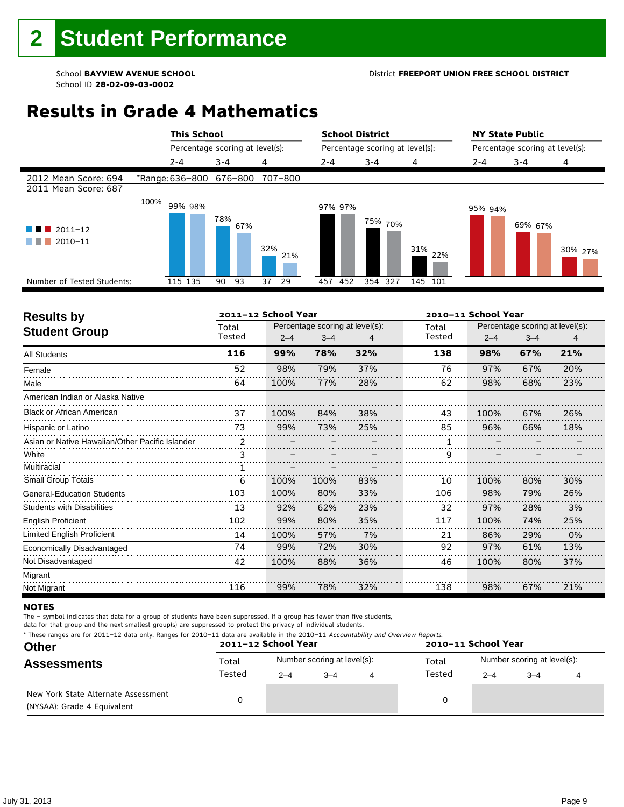#### School **BAYVIEW AVENUE SCHOOL** District **FREEPORT UNION FREE SCHOOL DISTRICT**

# **Results in Grade 4 Mathematics**

|                                              |      | <b>This School</b> |                                 |            | <b>School District</b> |                                 |            | <b>NY State Public</b> |                                 |         |
|----------------------------------------------|------|--------------------|---------------------------------|------------|------------------------|---------------------------------|------------|------------------------|---------------------------------|---------|
|                                              |      |                    | Percentage scoring at level(s): |            |                        | Percentage scoring at level(s): |            |                        | Percentage scoring at level(s): |         |
|                                              |      | $2 - 4$            | $3 - 4$                         | 4          | $2 - 4$                | $3 - 4$                         | 4          | $2 - 4$                | $3 - 4$                         | 4       |
| 2012 Mean Score: 694<br>2011 Mean Score: 687 |      |                    | *Range: 636-800 676-800         | 707-800    |                        |                                 |            |                        |                                 |         |
| $\blacksquare$ 2011-12<br>2010-11            | 100% | 99% 98%            | 78%<br>67%                      | 32%<br>21% | 97% 97%                | <sup>75%</sup> 70%              | 31%<br>22% | 95% 94%                | 69% 67%                         | 30% 27% |
| Number of Tested Students:                   |      | 115 135            | 93<br>90                        | 37<br>29   | 452<br>457             | 354 327                         | 145 101    |                        |                                 |         |
|                                              |      |                    |                                 |            |                        |                                 |            |                        |                                 |         |

| <b>Results by</b>                               |               | 2011-12 School Year |                                 |     | 2010-11 School Year |         |                                 |     |  |
|-------------------------------------------------|---------------|---------------------|---------------------------------|-----|---------------------|---------|---------------------------------|-----|--|
| <b>Student Group</b>                            | Total         |                     | Percentage scoring at level(s): |     | Total               |         | Percentage scoring at level(s): |     |  |
|                                                 | Tested        | $2 - 4$             | $3 - 4$                         |     | Tested              | $2 - 4$ | $3 - 4$                         | 4   |  |
| <b>All Students</b>                             | 116           | 99%                 | 78%                             | 32% | 138                 | 98%     | 67%                             | 21% |  |
| Female                                          | 52            | 98%                 | 79%                             | 37% | 76                  | 97%     | 67%                             | 20% |  |
| Male                                            | 64            | 100%                | 77%                             | 28% | 62                  | 98%     | 68%                             | 23% |  |
| American Indian or Alaska Native                |               |                     |                                 |     |                     |         |                                 |     |  |
| <b>Black or African American</b>                | 37            | 100%                | 84%                             | 38% | 43                  | 100%    | 67%                             | 26% |  |
| Hispanic or Latino                              | 73            | 99%                 | 73%                             | 25% | 85                  | 96%     | 66%                             | 18% |  |
| Asian or Native Hawaiian/Other Pacific Islander | $\mathcal{P}$ |                     |                                 |     |                     |         |                                 |     |  |
| White                                           | 3             |                     |                                 |     | 9                   |         |                                 |     |  |
| Multiracial                                     |               |                     |                                 |     |                     |         |                                 |     |  |
| <b>Small Group Totals</b>                       | 6             | 100%                | 100%                            | 83% | 10                  | 100%    | 80%                             | 30% |  |
| <b>General-Education Students</b>               | 103           | 100%                | 80%                             | 33% | 106                 | 98%     | 79%                             | 26% |  |
| <b>Students with Disabilities</b>               | 13            | 92%                 | 62%                             | 23% | 32                  | 97%     | 28%                             | 3%  |  |
| <b>English Proficient</b>                       | 102           | 99%                 | 80%                             | 35% | 117                 | 100%    | 74%                             | 25% |  |
| Limited English Proficient                      | 14            | 100%                | 57%                             | 7%  | 21                  | 86%     | 29%                             | 0%  |  |
| Economically Disadvantaged                      | 74            | 99%                 | 72%                             | 30% | 92                  | 97%     | 61%                             | 13% |  |
| Not Disadvantaged                               | 42            | 100%                | 88%                             | 36% | 46                  | 100%    | 80%                             | 37% |  |
| Migrant                                         |               |                     |                                 |     |                     |         |                                 |     |  |
| Not Migrant                                     | 116           | 99%                 | 78%                             | 32% | 138                 | 98%     | 67%                             | 21% |  |

#### **NOTES**

The – symbol indicates that data for a group of students have been suppressed. If a group has fewer than five students,

data for that group and the next smallest group(s) are suppressed to protect the privacy of individual students.

|  | * These ranges are for 2011-12 data only. Ranges for 2010-11 data are available in the 2010-11 Accountability and Overview Reports. |
|--|-------------------------------------------------------------------------------------------------------------------------------------|
|  |                                                                                                                                     |

| <b>Other</b>                                                       |        | 2011-12 School Year |                             |   | 2010-11 School Year |                             |      |  |  |
|--------------------------------------------------------------------|--------|---------------------|-----------------------------|---|---------------------|-----------------------------|------|--|--|
| <b>Assessments</b>                                                 | Total  |                     | Number scoring at level(s): |   | Total<br>Tested     | Number scoring at level(s): |      |  |  |
|                                                                    | Tested | $2 - 4$             | $3 - 4$                     | 4 |                     | $2 - 4$                     | $-4$ |  |  |
| New York State Alternate Assessment<br>(NYSAA): Grade 4 Equivalent |        |                     |                             |   | 0                   |                             |      |  |  |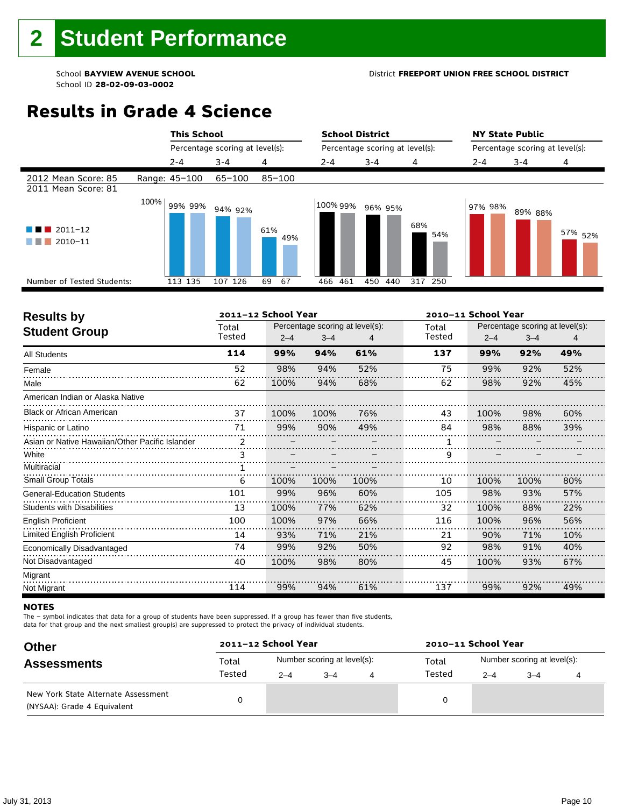#### School **BAYVIEW AVENUE SCHOOL** District **FREEPORT UNION FREE SCHOOL DISTRICT**

# **Results in Grade 4 Science**

|                                                                 | <b>This School</b> |                                 |            |          | <b>School District</b>          |            |         | <b>NY State Public</b>          |                    |
|-----------------------------------------------------------------|--------------------|---------------------------------|------------|----------|---------------------------------|------------|---------|---------------------------------|--------------------|
|                                                                 |                    | Percentage scoring at level(s): |            |          | Percentage scoring at level(s): |            |         | Percentage scoring at level(s): |                    |
|                                                                 | $2 - 4$            | $3 - 4$                         | 4          | $2 - 4$  | $3 - 4$                         | 4          | $2 - 4$ | $3 - 4$                         | 4                  |
| 2012 Mean Score: 85<br>2011 Mean Score: 81                      | Range: 45-100      | 65-100                          | $85 - 100$ |          |                                 |            |         |                                 |                    |
| $\blacksquare$ 2011-12<br><b>Tara</b><br>$\blacksquare$ 2010-11 | 100%<br>99% 99%    | 94% 92%                         | 61%<br>49% | 100% 99% | 96% 95%                         | 68%<br>54% | 97% 98% | 89% 88%                         | 57% <sub>52%</sub> |
| Number of Tested Students:                                      | 113 135            | 107 126                         | 69<br>67   | 466 461  | 450<br>440                      | 317 250    |         |                                 |                    |
|                                                                 |                    |                                 |            |          |                                 |            |         |                                 |                    |

|                |         |         |                     | 2010-11 School Year             |         |         |                                 |
|----------------|---------|---------|---------------------|---------------------------------|---------|---------|---------------------------------|
| Total          |         |         |                     | Total                           |         |         |                                 |
| Tested         | $2 - 4$ | $3 - 4$ |                     | Tested                          | $2 - 4$ | $3 - 4$ |                                 |
| 114            | 99%     | 94%     | 61%                 | 137                             | 99%     | 92%     | 49%                             |
| 52             | 98%     | 94%     | 52%                 | 75                              | 99%     | 92%     | 52%                             |
| 62             | 100%    | 94%     | 68%                 | 62                              | 98%     | 92%     | 45%                             |
|                |         |         |                     |                                 |         |         |                                 |
| 37             | 100%    | 100%    | 76%                 | 43                              | 100%    | 98%     | 60%                             |
| 71             | 99%     | 90%     | 49%                 | 84                              | 98%     | 88%     | 39%                             |
| $\mathfrak{p}$ |         |         |                     |                                 |         |         |                                 |
|                |         |         |                     | 9                               |         |         |                                 |
|                |         |         |                     |                                 |         |         |                                 |
| 6              | 100%    | 100%    | 100%                | 10                              | 100%    | 100%    | 80%                             |
| 101            | 99%     | 96%     | 60%                 | 105                             | 98%     | 93%     | 57%                             |
| 13             | 100%    | 77%     | 62%                 | 32                              | 100%    | 88%     | 22%                             |
| 100            | 100%    | 97%     | 66%                 | 116                             | 100%    | 96%     | 56%                             |
| 14             | 93%     | 71%     | 21%                 | 21                              | 90%     | 71%     | 10%                             |
| 74             | 99%     | 92%     | 50%                 | 92                              | 98%     | 91%     | 40%                             |
| 40             | 100%    | 98%     | 80%                 | 45                              | 100%    | 93%     | 67%                             |
|                |         |         |                     |                                 |         |         |                                 |
| 114            | 99%     | 94%     | 61%                 | 137                             | 99%     | 92%     | 49%                             |
|                |         |         | 2011-12 School Year | Percentage scoring at level(s): |         |         | Percentage scoring at level(s): |

#### **NOTES**

The – symbol indicates that data for a group of students have been suppressed. If a group has fewer than five students,

data for that group and the next smallest group(s) are suppressed to protect the privacy of individual students.

| <b>Other</b>                                                       | 2011-12 School Year |         |                             | 2010-11 School Year |                             |         |  |  |
|--------------------------------------------------------------------|---------------------|---------|-----------------------------|---------------------|-----------------------------|---------|--|--|
| <b>Assessments</b>                                                 | Total               |         | Number scoring at level(s): | Total               | Number scoring at level(s): |         |  |  |
|                                                                    | Tested              | $2 - 4$ | $3 - 4$                     | Tested              | $2 - 4$                     | $3 - 4$ |  |  |
| New York State Alternate Assessment<br>(NYSAA): Grade 4 Equivalent |                     |         |                             |                     |                             |         |  |  |